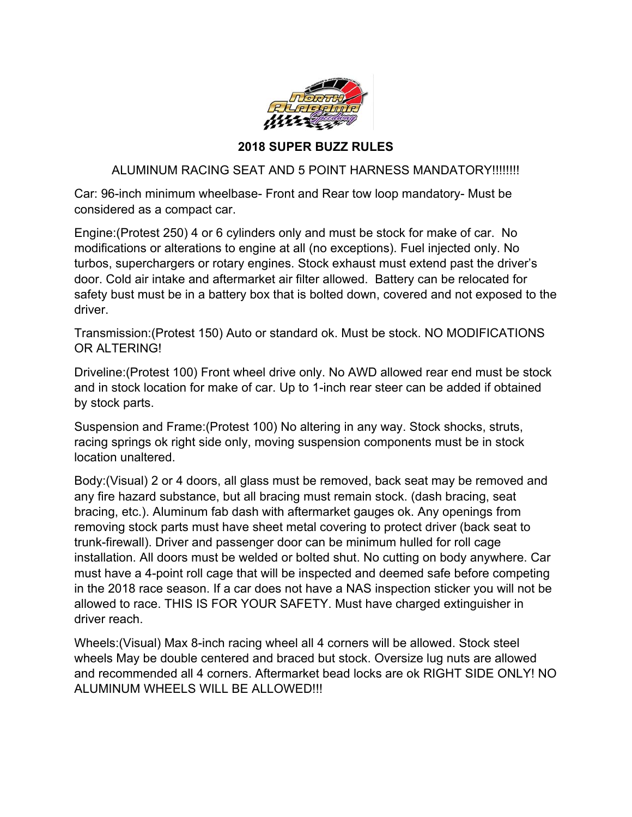

## **2018 SUPER BUZZ RULES**

## ALUMINUM RACING SEAT AND 5 POINT HARNESS MANDATORY!!!!!!!!

Car: 96-inch minimum wheelbase- Front and Rear tow loop mandatory- Must be considered as a compact car.

Engine:(Protest 250) 4 or 6 cylinders only and must be stock for make of car. No modifications or alterations to engine at all (no exceptions). Fuel injected only. No turbos, superchargers or rotary engines. Stock exhaust must extend past the driver's door. Cold air intake and aftermarket air filter allowed. Battery can be relocated for safety bust must be in a battery box that is bolted down, covered and not exposed to the driver.

Transmission:(Protest 150) Auto or standard ok. Must be stock. NO MODIFICATIONS OR ALTERING!

Driveline:(Protest 100) Front wheel drive only. No AWD allowed rear end must be stock and in stock location for make of car. Up to 1-inch rear steer can be added if obtained by stock parts.

Suspension and Frame:(Protest 100) No altering in any way. Stock shocks, struts, racing springs ok right side only, moving suspension components must be in stock location unaltered.

Body:(Visual) 2 or 4 doors, all glass must be removed, back seat may be removed and any fire hazard substance, but all bracing must remain stock. (dash bracing, seat bracing, etc.). Aluminum fab dash with aftermarket gauges ok. Any openings from removing stock parts must have sheet metal covering to protect driver (back seat to trunk-firewall). Driver and passenger door can be minimum hulled for roll cage installation. All doors must be welded or bolted shut. No cutting on body anywhere. Car must have a 4-point roll cage that will be inspected and deemed safe before competing in the 2018 race season. If a car does not have a NAS inspection sticker you will not be allowed to race. THIS IS FOR YOUR SAFETY. Must have charged extinguisher in driver reach.

Wheels:(Visual) Max 8-inch racing wheel all 4 corners will be allowed. Stock steel wheels May be double centered and braced but stock. Oversize lug nuts are allowed and recommended all 4 corners. Aftermarket bead locks are ok RIGHT SIDE ONLY! NO ALUMINUM WHEELS WILL BE ALLOWED!!!